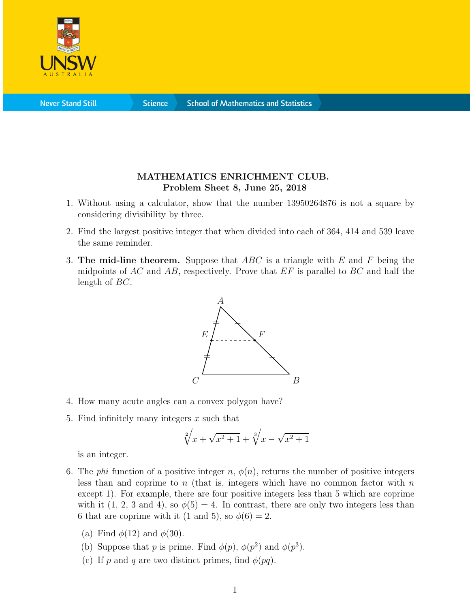

**Never Stand Still** 

**Science** 

## MATHEMATICS ENRICHMENT CLUB. Problem Sheet 8, June 25, 2018

- 1. Without using a calculator, show that the number 13950264876 is not a square by considering divisibility by three.
- 2. Find the largest positive integer that when divided into each of 364, 414 and 539 leave the same reminder.
- 3. The mid-line theorem. Suppose that  $ABC$  is a triangle with E and F being the midpoints of AC and AB, respectively. Prove that  $EF$  is parallel to BC and half the length of BC.



- 4. How many acute angles can a convex polygon have?
- 5. Find infinitely many integers  $x$  such that

$$
\sqrt[2]{x + \sqrt{x^2 + 1}} + \sqrt[3]{x - \sqrt{x^2 + 1}}
$$

is an integer.

- 6. The *phi* function of a positive integer n,  $\phi(n)$ , returns the number of positive integers less than and coprime to  $n$  (that is, integers which have no common factor with  $n$ except 1). For example, there are four positive integers less than 5 which are coprime with it (1, 2, 3 and 4), so  $\phi(5) = 4$ . In contrast, there are only two integers less than 6 that are coprime with it (1 and 5), so  $\phi(6) = 2$ .
	- (a) Find  $\phi(12)$  and  $\phi(30)$ .
	- (b) Suppose that p is prime. Find  $\phi(p)$ ,  $\phi(p^2)$  and  $\phi(p^3)$ .
	- (c) If p and q are two distinct primes, find  $\phi(pq)$ .